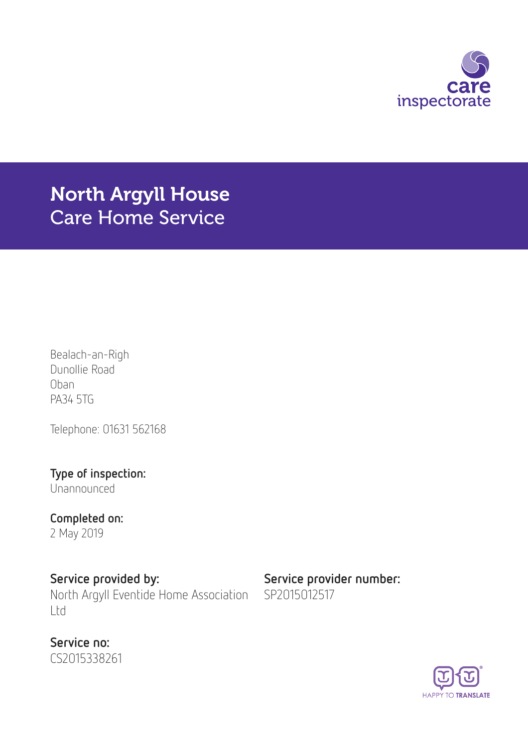

# North Argyll House Care Home Service

Bealach-an-Righ Dunollie Road Oban PA34 5TG

Telephone: 01631 562168

Type of inspection: Unannounced

Completed on: 2 May 2019

Service provided by: Service provider number: North Argyll Eventide Home Association Ltd

SP2015012517

Service no: CS2015338261

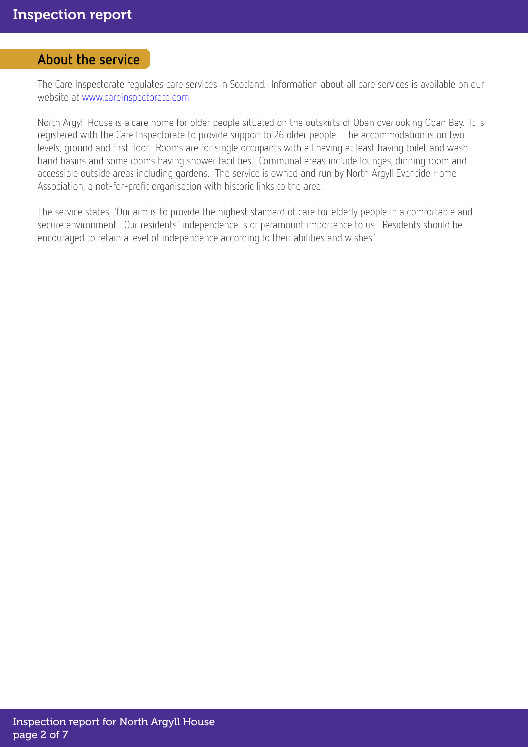### About the service

The Care Inspectorate regulates care services in Scotland. Information about all care services is available on our website at [www.careinspectorate.com](http://www.careinspectorate.com)

North Argyll House is a care home for older people situated on the outskirts of Oban overlooking Oban Bay. It is registered with the Care Inspectorate to provide support to 26 older people. The accommodation is on two levels, ground and first floor. Rooms are for single occupants with all having at least having toilet and wash hand basins and some rooms having shower facilities. Communal areas include lounges, dinning room and accessible outside areas including gardens. The service is owned and run by North Argyll Eventide Home Association, a not-for-profit organisation with historic links to the area.

The service states, 'Our aim is to provide the highest standard of care for elderly people in a comfortable and secure environment. Our residents' independence is of paramount importance to us. Residents should be encouraged to retain a level of independence according to their abilities and wishes.'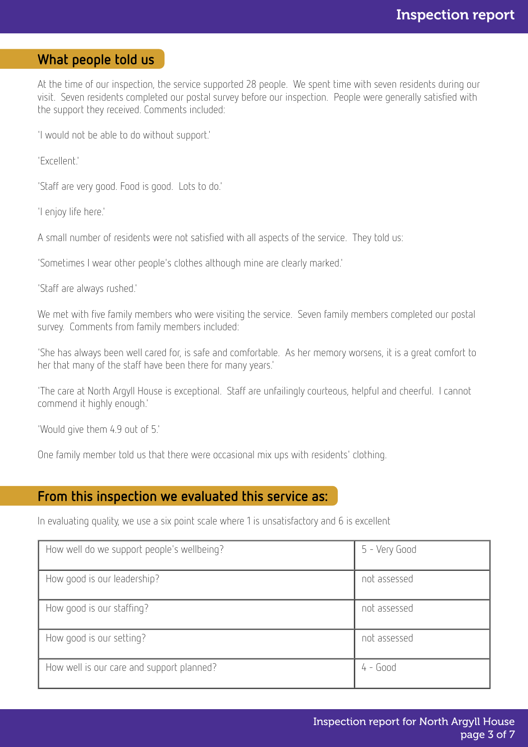## What people told us

At the time of our inspection, the service supported 28 people. We spent time with seven residents during our visit. Seven residents completed our postal survey before our inspection. People were generally satisfied with the support they received. Comments included:

'I would not be able to do without support.'

'Excellent.'

'Staff are very good. Food is good. Lots to do.'

'I enjoy life here.'

A small number of residents were not satisfied with all aspects of the service. They told us:

'Sometimes I wear other people's clothes although mine are clearly marked.'

'Staff are always rushed.'

We met with five family members who were visiting the service. Seven family members completed our postal survey. Comments from family members included:

'She has always been well cared for, is safe and comfortable. As her memory worsens, it is a great comfort to her that many of the staff have been there for many years.'

'The care at North Argyll House is exceptional. Staff are unfailingly courteous, helpful and cheerful. I cannot commend it highly enough.'

'Would give them 4.9 out of 5.'

One family member told us that there were occasional mix ups with residents' clothing.

### From this inspection we evaluated this service as:

In evaluating quality, we use a six point scale where 1 is unsatisfactory and 6 is excellent

| How well do we support people's wellbeing? | 5 - Very Good |
|--------------------------------------------|---------------|
| How good is our leadership?                | not assessed  |
| How good is our staffing?                  | not assessed  |
| How good is our setting?                   | not assessed  |
| How well is our care and support planned?  | $4 - Good$    |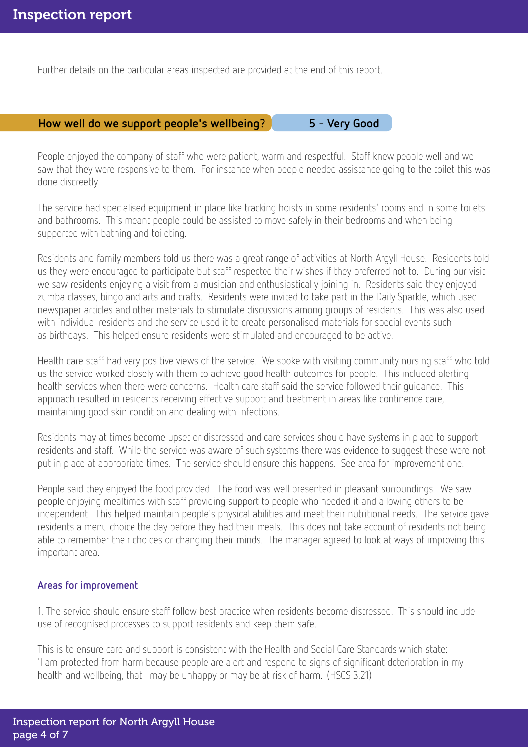Further details on the particular areas inspected are provided at the end of this report.

### How well do we support people's wellbeing? 3 5 - Very Good

People enjoyed the company of staff who were patient, warm and respectful. Staff knew people well and we saw that they were responsive to them. For instance when people needed assistance going to the toilet this was done discreetly.

The service had specialised equipment in place like tracking hoists in some residents' rooms and in some toilets and bathrooms. This meant people could be assisted to move safely in their bedrooms and when being supported with bathing and toileting.

Residents and family members told us there was a great range of activities at North Argyll House. Residents told us they were encouraged to participate but staff respected their wishes if they preferred not to. During our visit we saw residents enjoying a visit from a musician and enthusiastically joining in. Residents said they enjoyed zumba classes, bingo and arts and crafts. Residents were invited to take part in the Daily Sparkle, which used newspaper articles and other materials to stimulate discussions among groups of residents. This was also used with individual residents and the service used it to create personalised materials for special events such as birthdays. This helped ensure residents were stimulated and encouraged to be active.

Health care staff had very positive views of the service. We spoke with visiting community nursing staff who told us the service worked closely with them to achieve good health outcomes for people. This included alerting health services when there were concerns. Health care staff said the service followed their guidance. This approach resulted in residents receiving effective support and treatment in areas like continence care, maintaining good skin condition and dealing with infections.

Residents may at times become upset or distressed and care services should have systems in place to support residents and staff. While the service was aware of such systems there was evidence to suggest these were not put in place at appropriate times. The service should ensure this happens. See area for improvement one.

People said they enjoyed the food provided. The food was well presented in pleasant surroundings. We saw people enjoying mealtimes with staff providing support to people who needed it and allowing others to be independent. This helped maintain people's physical abilities and meet their nutritional needs. The service gave residents a menu choice the day before they had their meals. This does not take account of residents not being able to remember their choices or changing their minds. The manager agreed to look at ways of improving this important area.

#### Areas for improvement

1. The service should ensure staff follow best practice when residents become distressed. This should include use of recognised processes to support residents and keep them safe.

This is to ensure care and support is consistent with the Health and Social Care Standards which state: 'I am protected from harm because people are alert and respond to signs of significant deterioration in my health and wellbeing, that I may be unhappy or may be at risk of harm.' (HSCS 3.21)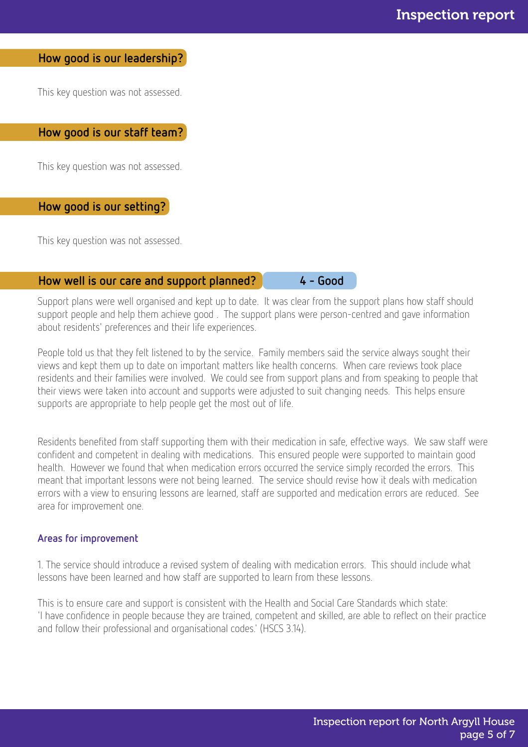#### How good is our leadership?

This key question was not assessed.

#### How good is our staff team?

This key question was not assessed.

#### How good is our setting?

This key question was not assessed.

#### How well is our care and support planned? 4 - Good

Support plans were well organised and kept up to date. It was clear from the support plans how staff should support people and help them achieve good . The support plans were person-centred and gave information about residents' preferences and their life experiences.

People told us that they felt listened to by the service. Family members said the service always sought their views and kept them up to date on important matters like health concerns. When care reviews took place residents and their families were involved. We could see from support plans and from speaking to people that their views were taken into account and supports were adjusted to suit changing needs. This helps ensure supports are appropriate to help people get the most out of life.

Residents benefited from staff supporting them with their medication in safe, effective ways. We saw staff were confident and competent in dealing with medications. This ensured people were supported to maintain good health. However we found that when medication errors occurred the service simply recorded the errors. This meant that important lessons were not being learned. The service should revise how it deals with medication errors with a view to ensuring lessons are learned, staff are supported and medication errors are reduced. See area for improvement one.

#### Areas for improvement

1. The service should introduce a revised system of dealing with medication errors. This should include what lessons have been learned and how staff are supported to learn from these lessons.

This is to ensure care and support is consistent with the Health and Social Care Standards which state: 'I have confidence in people because they are trained, competent and skilled, are able to reflect on their practice and follow their professional and organisational codes.' (HSCS 3.14).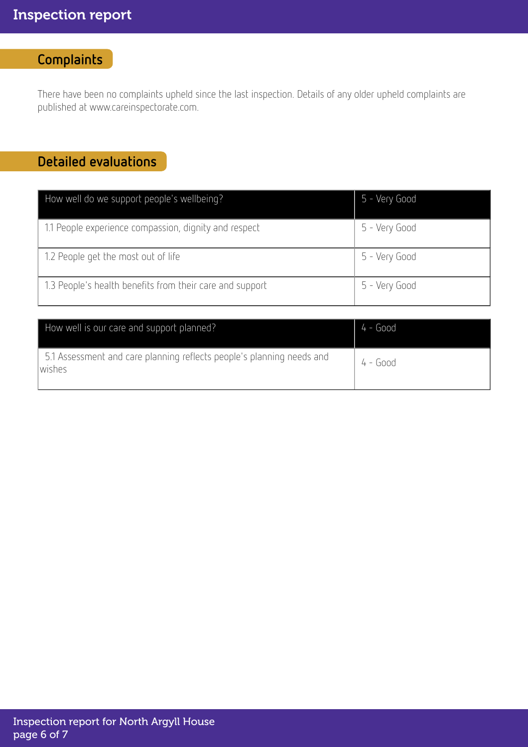# **Complaints**

There have been no complaints upheld since the last inspection. Details of any older upheld complaints are published at www.careinspectorate.com.

# Detailed evaluations

| 5 - Very Good |
|---------------|
|               |
| 5 - Very Good |
| 5 - Very Good |
|               |
| 5 - Very Good |
|               |

| How well is our care and support planned?                                        | $4 - Good$ |
|----------------------------------------------------------------------------------|------------|
| 5.1 Assessment and care planning reflects people's planning needs and<br>lwishes | 4 - Good   |